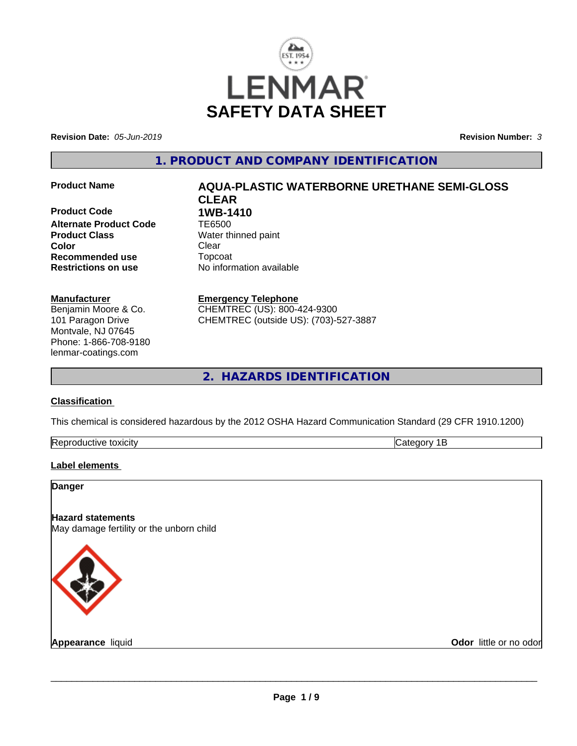

**Revision Date:** *05-Jun-2019* **Revision Number:** *3*

**1. PRODUCT AND COMPANY IDENTIFICATION**

**Product Code 1WB-1410**<br>Alternate Product Code **1E6500 Alternate Product Code Product Class**<br>
Color
Color
Clear
Clear
Clear
Clear
Clear
Clear
Clear
Clear
Clear
Clear
Clear
Clear
Clear
Clear
Clear
Clear
Clear
Clear
Clear
Clear
Clear
Clear
Clear
Clear
Clear
Clear
Clear
Clear
Clear
Clear
Clear
Clear
C **Color** Clear Clear **Recommended use** Topcoat **Restrictions on use** No information available

#### **Manufacturer**

Benjamin Moore & Co. 101 Paragon Drive Montvale, NJ 07645 Phone: 1-866-708-9180 lenmar-coatings.com

# **Product Name AQUA-PLASTIC WATERBORNE URETHANE SEMI-GLOSS CLEAR**

**Emergency Telephone** CHEMTREC (US): 800-424-9300 CHEMTREC (outside US): (703)-527-3887

**2. HAZARDS IDENTIFICATION**

### **Classification**

This chemical is considered hazardous by the 2012 OSHA Hazard Communication Standard (29 CFR 1910.1200)

| . .<br>. .<br><br><br>A |  |
|-------------------------|--|

### **Label elements**

| <b>Danger</b>                                                        |                        |
|----------------------------------------------------------------------|------------------------|
| <b>Hazard statements</b><br>May damage fertility or the unborn child |                        |
|                                                                      |                        |
| Appearance liquid                                                    | Odor little or no odor |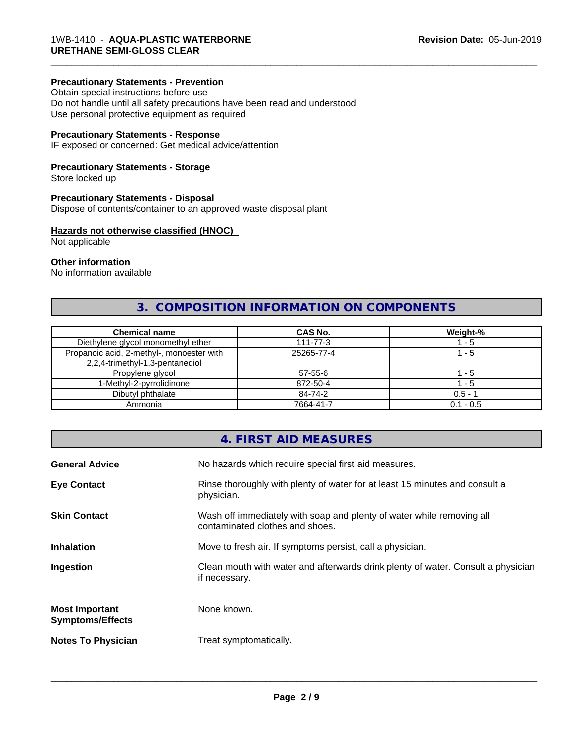#### **Precautionary Statements - Prevention**

Obtain special instructions before use Do not handle until all safety precautions have been read and understood Use personal protective equipment as required

### **Precautionary Statements - Response**

IF exposed or concerned: Get medical advice/attention

## **Precautionary Statements - Storage**

Store locked up

#### **Precautionary Statements - Disposal**

Dispose of contents/container to an approved waste disposal plant

#### **Hazards not otherwise classified (HNOC)**

Not applicable

#### **Other information**

No information available

# **3. COMPOSITION INFORMATION ON COMPONENTS**

\_\_\_\_\_\_\_\_\_\_\_\_\_\_\_\_\_\_\_\_\_\_\_\_\_\_\_\_\_\_\_\_\_\_\_\_\_\_\_\_\_\_\_\_\_\_\_\_\_\_\_\_\_\_\_\_\_\_\_\_\_\_\_\_\_\_\_\_\_\_\_\_\_\_\_\_\_\_\_\_\_\_\_\_\_\_\_\_\_\_\_\_\_

| <b>Chemical name</b>                                                         | <b>CAS No.</b> | Weight-%    |
|------------------------------------------------------------------------------|----------------|-------------|
| Diethylene glycol monomethyl ether                                           | $111 - 77 - 3$ | - 5         |
| Propanoic acid, 2-methyl-, monoester with<br>2,2,4-trimethyl-1,3-pentanediol | 25265-77-4     | 1 - 5       |
| Propylene glycol                                                             | 57-55-6        | - 5         |
| 1-Methyl-2-pyrrolidinone                                                     | 872-50-4       | - 5         |
| Dibutyl phthalate                                                            | 84-74-2        | $0.5 - 1$   |
| Ammonia                                                                      | 7664-41-7      | $0.1 - 0.5$ |

# **4. FIRST AID MEASURES**

| <b>General Advice</b>                            | No hazards which require special first aid measures.                                                     |
|--------------------------------------------------|----------------------------------------------------------------------------------------------------------|
| <b>Eye Contact</b>                               | Rinse thoroughly with plenty of water for at least 15 minutes and consult a<br>physician.                |
| <b>Skin Contact</b>                              | Wash off immediately with soap and plenty of water while removing all<br>contaminated clothes and shoes. |
| <b>Inhalation</b>                                | Move to fresh air. If symptoms persist, call a physician.                                                |
| Ingestion                                        | Clean mouth with water and afterwards drink plenty of water. Consult a physician<br>if necessary.        |
| <b>Most Important</b><br><b>Symptoms/Effects</b> | None known.                                                                                              |
| <b>Notes To Physician</b>                        | Treat symptomatically.                                                                                   |
|                                                  |                                                                                                          |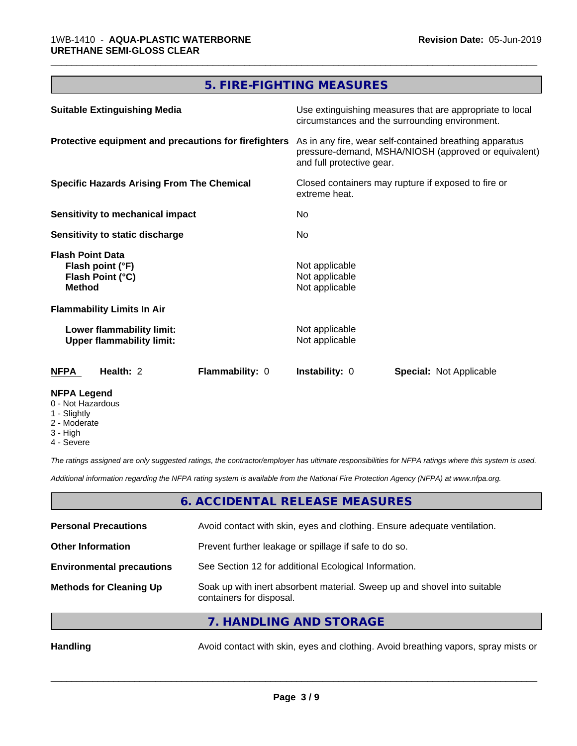# **5. FIRE-FIGHTING MEASURES**

\_\_\_\_\_\_\_\_\_\_\_\_\_\_\_\_\_\_\_\_\_\_\_\_\_\_\_\_\_\_\_\_\_\_\_\_\_\_\_\_\_\_\_\_\_\_\_\_\_\_\_\_\_\_\_\_\_\_\_\_\_\_\_\_\_\_\_\_\_\_\_\_\_\_\_\_\_\_\_\_\_\_\_\_\_\_\_\_\_\_\_\_\_

| <b>Suitable Extinguishing Media</b>                                              | Use extinguishing measures that are appropriate to local<br>circumstances and the surrounding environment.<br>As in any fire, wear self-contained breathing apparatus<br>pressure-demand, MSHA/NIOSH (approved or equivalent)<br>and full protective gear.<br>Closed containers may rupture if exposed to fire or<br>extreme heat.<br>No.<br>No. |  |
|----------------------------------------------------------------------------------|--------------------------------------------------------------------------------------------------------------------------------------------------------------------------------------------------------------------------------------------------------------------------------------------------------------------------------------------------|--|
| Protective equipment and precautions for firefighters                            |                                                                                                                                                                                                                                                                                                                                                  |  |
| <b>Specific Hazards Arising From The Chemical</b>                                |                                                                                                                                                                                                                                                                                                                                                  |  |
| <b>Sensitivity to mechanical impact</b>                                          |                                                                                                                                                                                                                                                                                                                                                  |  |
| Sensitivity to static discharge                                                  |                                                                                                                                                                                                                                                                                                                                                  |  |
| <b>Flash Point Data</b><br>Flash point (°F)<br>Flash Point (°C)<br><b>Method</b> | Not applicable<br>Not applicable<br>Not applicable                                                                                                                                                                                                                                                                                               |  |
| <b>Flammability Limits In Air</b>                                                |                                                                                                                                                                                                                                                                                                                                                  |  |
| Lower flammability limit:<br><b>Upper flammability limit:</b>                    | Not applicable<br>Not applicable                                                                                                                                                                                                                                                                                                                 |  |
| <b>NFPA</b><br>Health: 2<br>Flammability: 0                                      | <b>Instability: 0</b><br><b>Special: Not Applicable</b>                                                                                                                                                                                                                                                                                          |  |
| <b>NFPA Legend</b>                                                               |                                                                                                                                                                                                                                                                                                                                                  |  |

- 0 Not Hazardous
- 1 Slightly
- 2 Moderate
- 3 High
- 4 Severe

*The ratings assigned are only suggested ratings, the contractor/employer has ultimate responsibilities for NFPA ratings where this system is used.*

*Additional information regarding the NFPA rating system is available from the National Fire Protection Agency (NFPA) at www.nfpa.org.*

# **6. ACCIDENTAL RELEASE MEASURES**

| <b>Personal Precautions</b>      | Avoid contact with skin, eyes and clothing. Ensure adequate ventilation.                             |
|----------------------------------|------------------------------------------------------------------------------------------------------|
| <b>Other Information</b>         | Prevent further leakage or spillage if safe to do so.                                                |
| <b>Environmental precautions</b> | See Section 12 for additional Ecological Information.                                                |
| <b>Methods for Cleaning Up</b>   | Soak up with inert absorbent material. Sweep up and shovel into suitable<br>containers for disposal. |
|                                  |                                                                                                      |

**7. HANDLING AND STORAGE**

Handling **Handling** Avoid contact with skin, eyes and clothing. Avoid breathing vapors, spray mists or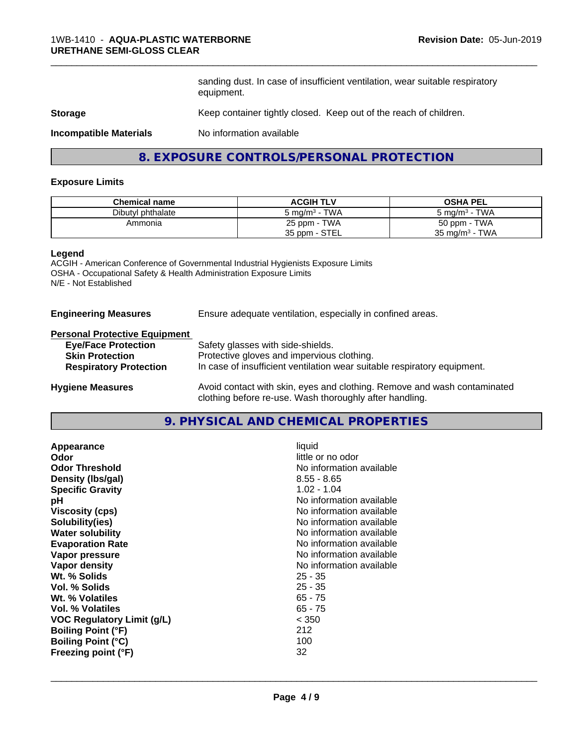sanding dust. In case of insufficient ventilation, wear suitable respiratory equipment.

\_\_\_\_\_\_\_\_\_\_\_\_\_\_\_\_\_\_\_\_\_\_\_\_\_\_\_\_\_\_\_\_\_\_\_\_\_\_\_\_\_\_\_\_\_\_\_\_\_\_\_\_\_\_\_\_\_\_\_\_\_\_\_\_\_\_\_\_\_\_\_\_\_\_\_\_\_\_\_\_\_\_\_\_\_\_\_\_\_\_\_\_\_

#### **Storage** Keep container tightly closed. Keep out of the reach of children.

**Incompatible Materials** No information available

# **8. EXPOSURE CONTROLS/PERSONAL PROTECTION**

#### **Exposure Limits**

| <b>Chemical name</b> | <b>ACGIH TLV</b>                      | <b>OSHA PEL</b>                   |
|----------------------|---------------------------------------|-----------------------------------|
| Dibutyl phthalate    | <b>TWA</b><br>5 mg/m <sup>3</sup> - 1 | TWA<br>$5 \text{ ma/m}^3$ -       |
| Ammonia              | 25 ppm - TWA                          | 50 ppm - TWA                      |
|                      | 35 ppm - STEL                         | TWA<br>35 mg/m <sup>3</sup> - $1$ |

#### **Legend**

ACGIH - American Conference of Governmental Industrial Hygienists Exposure Limits OSHA - Occupational Safety & Health Administration Exposure Limits N/E - Not Established

#### **Engineering Measures** Ensure adequate ventilation, especially in confined areas.

#### **Personal Protective Equipment**

| <b>Eye/Face Protection</b>    | Safety glasses with side-shields.                                        |
|-------------------------------|--------------------------------------------------------------------------|
| <b>Skin Protection</b>        | Protective gloves and impervious clothing.                               |
| <b>Respiratory Protection</b> | In case of insufficient ventilation wear suitable respiratory equipment. |
| <b>Hygiene Measures</b>       | Avoid contact with skin, eyes and clothing. Remove and wash contaminated |

clothing before re-use. Wash thoroughly after handling.

**9. PHYSICAL AND CHEMICAL PROPERTIES**

| Appearance                 | liquid                   |
|----------------------------|--------------------------|
| Odor                       | little or no odor        |
| <b>Odor Threshold</b>      | No information available |
| Density (Ibs/gal)          | $8.55 - 8.65$            |
| <b>Specific Gravity</b>    | $1.02 - 1.04$            |
| рH                         | No information available |
| <b>Viscosity (cps)</b>     | No information available |
| Solubility(ies)            | No information available |
| <b>Water solubility</b>    | No information available |
| <b>Evaporation Rate</b>    | No information available |
| Vapor pressure             | No information available |
| Vapor density              | No information available |
| Wt. % Solids               | $25 - 35$                |
| Vol. % Solids              | $25 - 35$                |
| Wt. % Volatiles            | $65 - 75$                |
| Vol. % Volatiles           | $65 - 75$                |
| VOC Regulatory Limit (g/L) | < 350                    |
| <b>Boiling Point (°F)</b>  | 212                      |
| <b>Boiling Point (°C)</b>  | 100                      |
| Freezing point (°F)        | 32                       |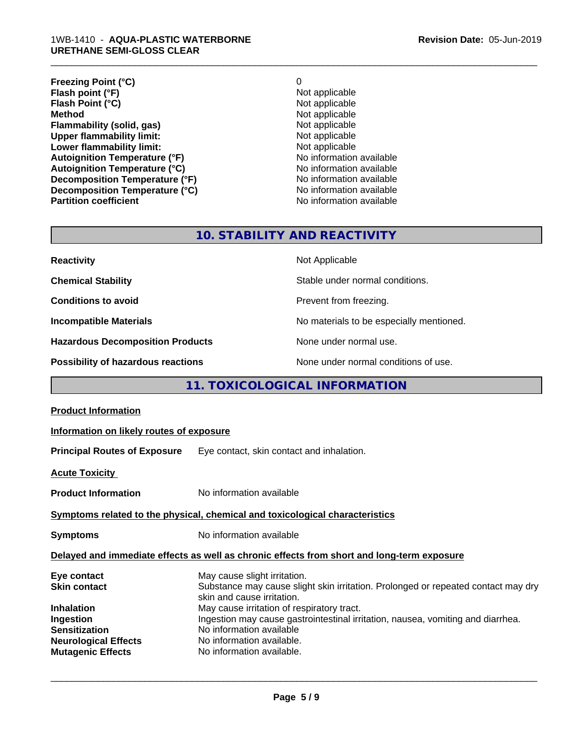#### 1WB-1410 - **AQUA-PLASTIC WATERBORNE URETHANE SEMI-GLOSS CLEAR**

| <b>Freezing Point (°C)</b>           | 0                        |
|--------------------------------------|--------------------------|
| Flash point (°F)                     | Not applicable           |
| Flash Point (°C)                     | Not applicable           |
| <b>Method</b>                        | Not applicable           |
| Flammability (solid, gas)            | Not applicable           |
| <b>Upper flammability limit:</b>     | Not applicable           |
| Lower flammability limit:            | Not applicable           |
| <b>Autoignition Temperature (°F)</b> | No information available |
| <b>Autoignition Temperature (°C)</b> | No information available |
| Decomposition Temperature (°F)       | No information available |
| Decomposition Temperature (°C)       | No information available |
| <b>Partition coefficient</b>         | No information available |

\_\_\_\_\_\_\_\_\_\_\_\_\_\_\_\_\_\_\_\_\_\_\_\_\_\_\_\_\_\_\_\_\_\_\_\_\_\_\_\_\_\_\_\_\_\_\_\_\_\_\_\_\_\_\_\_\_\_\_\_\_\_\_\_\_\_\_\_\_\_\_\_\_\_\_\_\_\_\_\_\_\_\_\_\_\_\_\_\_\_\_\_\_

# **10. STABILITY AND REACTIVITY**

| <b>Reactivity</b>                       | Not Applicable                           |
|-----------------------------------------|------------------------------------------|
| <b>Chemical Stability</b>               | Stable under normal conditions.          |
| <b>Conditions to avoid</b>              | Prevent from freezing.                   |
| <b>Incompatible Materials</b>           | No materials to be especially mentioned. |
| <b>Hazardous Decomposition Products</b> | None under normal use.                   |
| Possibility of hazardous reactions      | None under normal conditions of use.     |

# **11. TOXICOLOGICAL INFORMATION**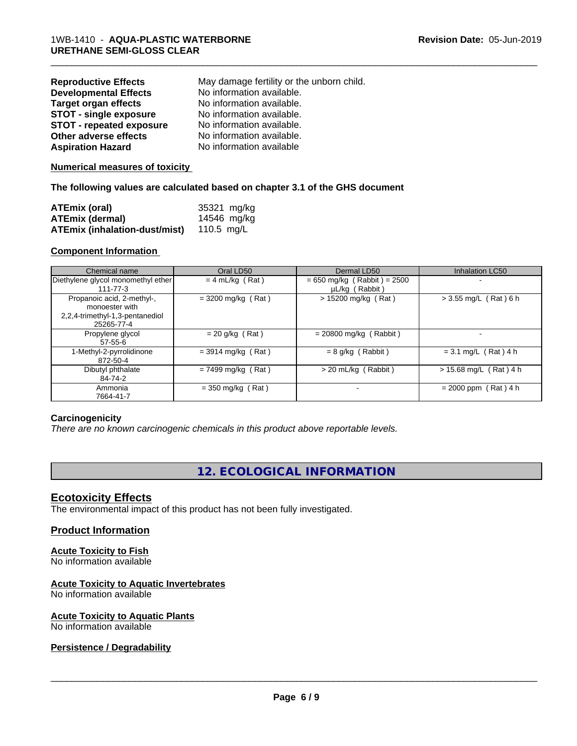| <b>Reproductive Effects</b>     | May damage fertility or the unborn child. |
|---------------------------------|-------------------------------------------|
| <b>Developmental Effects</b>    | No information available.                 |
| <b>Target organ effects</b>     | No information available.                 |
| <b>STOT - single exposure</b>   | No information available.                 |
| <b>STOT - repeated exposure</b> | No information available.                 |
| Other adverse effects           | No information available.                 |
| <b>Aspiration Hazard</b>        | No information available                  |

#### **Numerical measures of toxicity**

#### **The following values are calculated based on chapter 3.1 of the GHS document**

| <b>ATEmix (oral)</b>                            | 35321 mg/kg |
|-------------------------------------------------|-------------|
| ATEmix (dermal)                                 | 14546 mg/kg |
| <b>ATEmix (inhalation-dust/mist)</b> 110.5 mg/L |             |

#### **Component Information**

| Chemical name                                                                                 | Oral LD50            | Dermal LD50                                     | Inhalation LC50          |
|-----------------------------------------------------------------------------------------------|----------------------|-------------------------------------------------|--------------------------|
| Diethylene glycol monomethyl ether<br>111-77-3                                                | $= 4$ mL/kg (Rat)    | $= 650$ mg/kg (Rabbit) = 2500<br>µL/kg (Rabbit) | ۰                        |
| Propanoic acid, 2-methyl-,<br>monoester with<br>2,2,4-trimethyl-1,3-pentanediol<br>25265-77-4 | $=$ 3200 mg/kg (Rat) | $> 15200$ mg/kg (Rat)                           | $> 3.55$ mg/L (Rat) 6 h  |
| Propylene glycol<br>$57-55-6$                                                                 | $= 20$ g/kg (Rat)    | $= 20800$ mg/kg (Rabbit)                        |                          |
| 1-Methyl-2-pyrrolidinone<br>872-50-4                                                          | $= 3914$ mg/kg (Rat) | $= 8$ g/kg (Rabbit)                             | $= 3.1$ mg/L (Rat) 4 h   |
| Dibutyl phthalate<br>84-74-2                                                                  | $= 7499$ mg/kg (Rat) | $>$ 20 mL/kg (Rabbit)                           | $> 15.68$ mg/L (Rat) 4 h |
| Ammonia<br>7664-41-7                                                                          | $=$ 350 mg/kg (Rat)  |                                                 | $= 2000$ ppm (Rat) 4 h   |

\_\_\_\_\_\_\_\_\_\_\_\_\_\_\_\_\_\_\_\_\_\_\_\_\_\_\_\_\_\_\_\_\_\_\_\_\_\_\_\_\_\_\_\_\_\_\_\_\_\_\_\_\_\_\_\_\_\_\_\_\_\_\_\_\_\_\_\_\_\_\_\_\_\_\_\_\_\_\_\_\_\_\_\_\_\_\_\_\_\_\_\_\_

#### **Carcinogenicity**

*There are no known carcinogenic chemicals in this product above reportable levels.*

# **12. ECOLOGICAL INFORMATION**

#### **Ecotoxicity Effects**

The environmental impact of this product has not been fully investigated.

### **Product Information**

# **Acute Toxicity to Fish**

No information available

# **Acute Toxicity to Aquatic Invertebrates**

No information available

#### **Acute Toxicity to Aquatic Plants** No information available

### **Persistence / Degradability**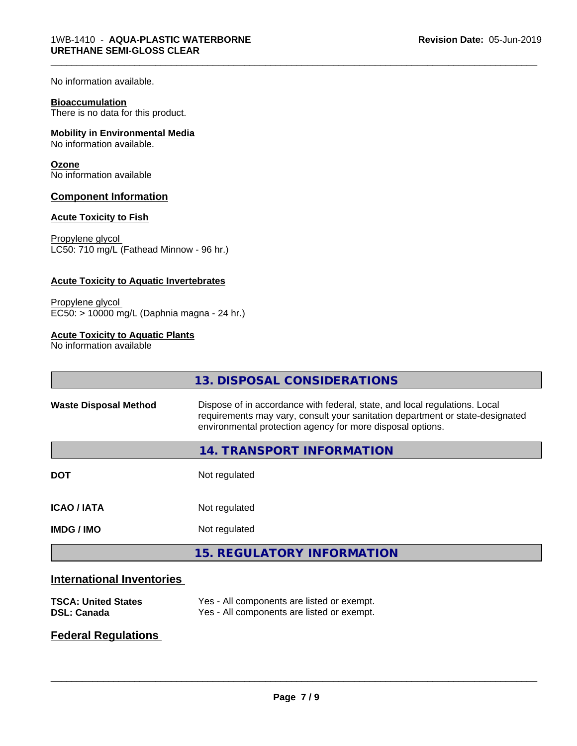No information available.

#### **Bioaccumulation**

There is no data for this product.

#### **Mobility in Environmental Media**

No information available.

#### **Ozone**

No information available

#### **Component Information**

#### **Acute Toxicity to Fish**

Propylene glycol LC50: 710 mg/L (Fathead Minnow - 96 hr.)

#### **Acute Toxicity to Aquatic Invertebrates**

Propylene glycol EC50: > 10000 mg/L (Daphnia magna - 24 hr.)

#### **Acute Toxicity to Aquatic Plants**

No information available

|                              | 13. DISPOSAL CONSIDERATIONS                                                                                                                                                                                               |
|------------------------------|---------------------------------------------------------------------------------------------------------------------------------------------------------------------------------------------------------------------------|
| <b>Waste Disposal Method</b> | Dispose of in accordance with federal, state, and local regulations. Local<br>requirements may vary, consult your sanitation department or state-designated<br>environmental protection agency for more disposal options. |
|                              | 14. TRANSPORT INFORMATION                                                                                                                                                                                                 |
| <b>DOT</b>                   | Not regulated                                                                                                                                                                                                             |
| <b>ICAO / IATA</b>           | Not regulated                                                                                                                                                                                                             |
| <b>IMDG/IMO</b>              | Not regulated                                                                                                                                                                                                             |
|                              | <b>15. REGULATORY INFORMATION</b>                                                                                                                                                                                         |
|                              |                                                                                                                                                                                                                           |

\_\_\_\_\_\_\_\_\_\_\_\_\_\_\_\_\_\_\_\_\_\_\_\_\_\_\_\_\_\_\_\_\_\_\_\_\_\_\_\_\_\_\_\_\_\_\_\_\_\_\_\_\_\_\_\_\_\_\_\_\_\_\_\_\_\_\_\_\_\_\_\_\_\_\_\_\_\_\_\_\_\_\_\_\_\_\_\_\_\_\_\_\_

# **International Inventories**

| <b>TSCA: United States</b> | Yes - All components are listed or exempt. |
|----------------------------|--------------------------------------------|
| <b>DSL: Canada</b>         | Yes - All components are listed or exempt. |

# **Federal Regulations**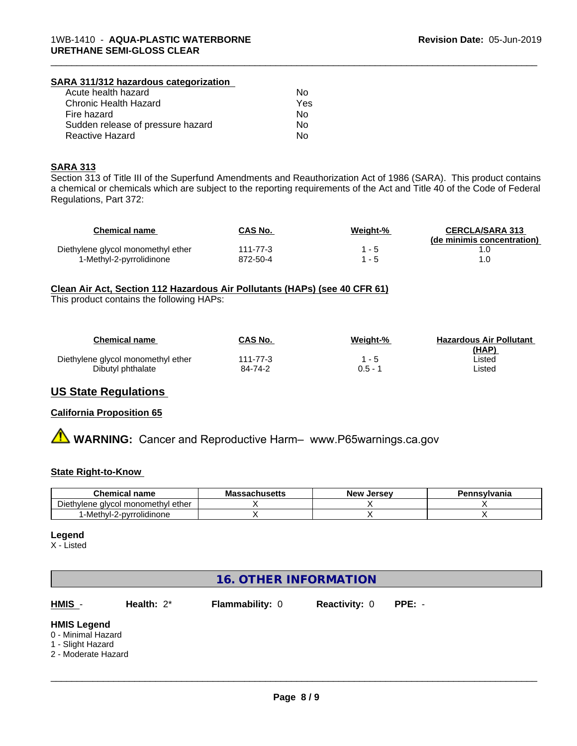#### **SARA 311/312 hazardous categorization**

| Acute health hazard               | Nο  |
|-----------------------------------|-----|
| Chronic Health Hazard             | Yes |
| Fire hazard                       | Nο  |
| Sudden release of pressure hazard | N٥  |
| Reactive Hazard                   | N٥  |

#### **SARA 313**

Section 313 of Title III of the Superfund Amendments and Reauthorization Act of 1986 (SARA). This product contains a chemical or chemicals which are subject to the reporting requirements of the Act and Title 40 of the Code of Federal Regulations, Part 372:

\_\_\_\_\_\_\_\_\_\_\_\_\_\_\_\_\_\_\_\_\_\_\_\_\_\_\_\_\_\_\_\_\_\_\_\_\_\_\_\_\_\_\_\_\_\_\_\_\_\_\_\_\_\_\_\_\_\_\_\_\_\_\_\_\_\_\_\_\_\_\_\_\_\_\_\_\_\_\_\_\_\_\_\_\_\_\_\_\_\_\_\_\_

| Chemical name                      | CAS No.  | Weight-% | <b>CERCLA/SARA 313</b><br>(de minimis concentration) |
|------------------------------------|----------|----------|------------------------------------------------------|
| Diethylene glycol monomethyl ether | 111-77-3 |          |                                                      |
| 1-Methyl-2-pyrrolidinone           | 872-50-4 |          |                                                      |

#### **Clean Air Act,Section 112 Hazardous Air Pollutants (HAPs) (see 40 CFR 61)**

This product contains the following HAPs:

| <b>Chemical name</b>               | CAS No.  | Weight-%  | <b>Hazardous Air Pollutant</b><br>(HAP) |
|------------------------------------|----------|-----------|-----------------------------------------|
| Diethylene glycol monomethyl ether | 111-77-3 | l - 5     | ∟isted                                  |
| Dibutyl phthalate                  | 84-74-2  | $0.5 - 1$ | ∟isted                                  |

# **US State Regulations**

#### **California Proposition 65**

**A WARNING:** Cancer and Reproductive Harm– www.P65warnings.ca.gov

#### **State Right-to-Know**

| <b>Chemical name</b>                               | - -<br>sachusetts<br>Mas: | <b>Jersev</b><br><b>New</b> | Pennsvlvania |
|----------------------------------------------------|---------------------------|-----------------------------|--------------|
| -<br>Diethylene<br>ether<br>I monomethvl<br>alvcol |                           |                             |              |
| '-Methyl-2-pyrrolidinone                           |                           |                             |              |

#### **Legend**

X - Listed

# **16. OTHER INFORMATION**

**HMIS** - **Health:** 2\* **Flammability:** 0 **Reactivity:** 0 **PPE:** -

#### **HMIS Legend**

- 0 Minimal Hazard
- 1 Slight Hazard
- 2 Moderate Hazard